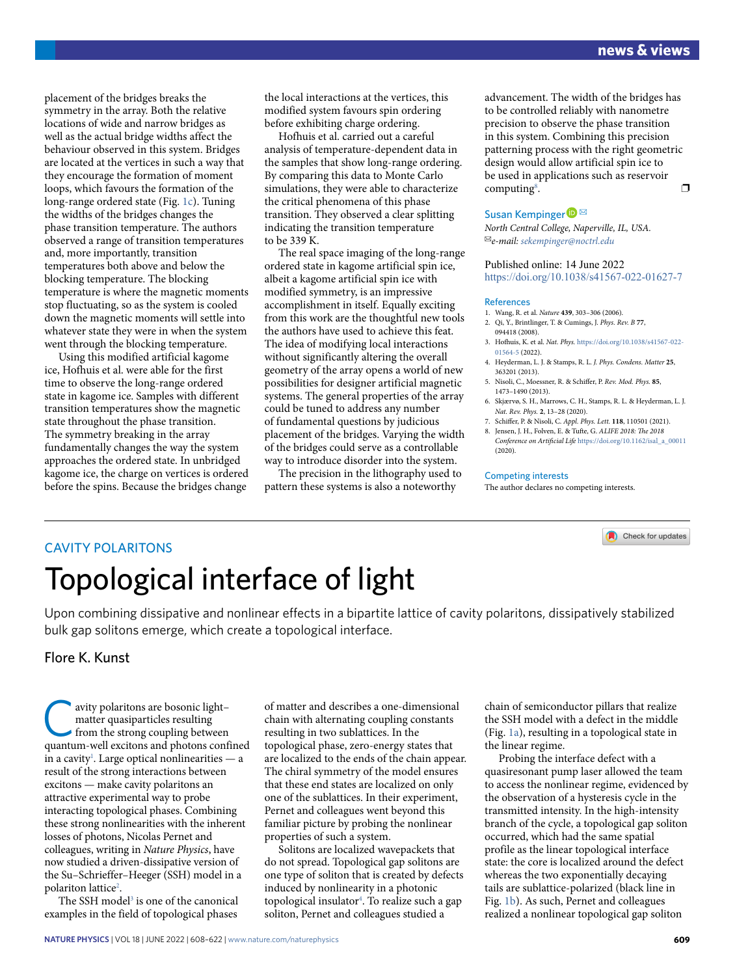placement of the bridges breaks the symmetry in the array. Both the relative locations of wide and narrow bridges as well as the actual bridge widths affect the behaviour observed in this system. Bridges are located at the vertices in such a way that they encourage the formation of moment loops, which favours the formation of the long-range ordered state (Fig. 1c). Tuning the widths of the bridges changes the phase transition temperature. The authors observed a range of transition temperatures and, more importantly, transition temperatures both above and below the blocking temperature. The blocking temperature is where the magnetic moments stop fluctuating, so as the system is cooled down the magnetic moments will settle into whatever state they were in when the system went through the blocking temperature.

Using this modified artificial kagome ice, Hofhuis et al. were able for the first time to observe the long-range ordered state in kagome ice. Samples with different transition temperatures show the magnetic state throughout the phase transition. The symmetry breaking in the array fundamentally changes the way the system approaches the ordered state. In unbridged kagome ice, the charge on vertices is ordered before the spins. Because the bridges change

the local interactions at the vertices, this modified system favours spin ordering before exhibiting charge ordering.

Hofhuis et al. carried out a careful analysis of temperature-dependent data in the samples that show long-range ordering. By comparing this data to Monte Carlo simulations, they were able to characterize the critical phenomena of this phase transition. They observed a clear splitting indicating the transition temperature to be 339 K.

The real space imaging of the long-range ordered state in kagome artificial spin ice, albeit a kagome artificial spin ice with modified symmetry, is an impressive accomplishment in itself. Equally exciting from this work are the thoughtful new tools the authors have used to achieve this feat. The idea of modifying local interactions without significantly altering the overall geometry of the array opens a world of new possibilities for designer artificial magnetic systems. The general properties of the array could be tuned to address any number of fundamental questions by judicious placement of the bridges. Varying the width of the bridges could serve as a controllable way to introduce disorder into the system.

The precision in the lithography used to pattern these systems is also a noteworthy

advancement. The width of the bridges has to be controlled reliably with nanometre precision to observe the phase transition in this system. Combining this precision patterning process with the right geometric design would allow artificial spin ice to be used in applications such as reservoir computing<sup>8</sup>. . The contract of  $\Box$ 

## Susan Kempinger<sup>
■</sup>

*North Central College, Naperville, IL, USA.*  ✉*e-mail: [sekempinger@noctrl.edu](mailto:sekempinger@noctrl.edu)*

Published online: 14 June 2022 <https://doi.org/10.1038/s41567-022-01627-7>

### References

- 1. Wang, R. et al. *Nature* **439**, 303–306 (2006).
- 2. Qi, Y., Brintlinger, T. & Cumings, J. *Phys. Rev. B* **77**, 094418 (2008).
- 3. Hofuis, K. et al. *Nat. Phys.* [https://doi.org/10.1038/s41567-022-](https://doi.org/10.1038/s41567-022-01564-5) [01564-5](https://doi.org/10.1038/s41567-022-01564-5) (2022).
- 4. Heyderman, L. J. & Stamps, R. L. *J. Phys. Condens. Matter* **25**, 363201 (2013).
- 5. Nisoli, C., Moessner, R. & Schifer, P. *Rev. Mod. Phys.* **85**, 1473–1490 (2013).
- 6. Skjærvø, S. H., Marrows, C. H., Stamps, R. L. & Heyderman, L. J. *Nat. Rev. Phys.* **2**, 13–28 (2020).
- 7. Schifer, P. & Nisoli, C. *Appl. Phys. Lett.* **118**, 110501 (2021). 8. Jensen, J. H., Folven, E. & Tufte, G. *ALIFE 2018: The 2018*
- *Conference on Artifcial Life* [https://doi.org/10.1162/isal\\_a\\_00011](https://doi.org/10.1162/isal_a_00011) (2020).

Check for updates

### Competing interests

The author declares no competing interests.

## CAVITY POLARITONS

# Topological interface of light

Upon combining dissipative and nonlinear efects in a bipartite lattice of cavity polaritons, dissipatively stabilized bulk gap solitons emerge, which create a topological interface.

Flore K. Kunst

wity polaritons are bosonic light–<br>
matter quasiparticles resulting<br>
from the strong coupling between<br>
quantum-well excitons and photons conf matter quasiparticles resulting quantum-well excitons and photons confined in a cavity<sup>1</sup>. Large optical nonlinearities  $-$  a result of the strong interactions between excitons — make cavity polaritons an attractive experimental way to probe interacting topological phases. Combining these strong nonlinearities with the inherent losses of photons, Nicolas Pernet and colleagues, writing in *Nature Physics*, have now studied a driven-dissipative version of the Su–Schrieffer–Heeger (SSH) model in a polariton lattice<sup>2</sup>.

The SSH model<sup>3</sup> is one of the canonical examples in the field of topological phases

of matter and describes a one-dimensional chain with alternating coupling constants resulting in two sublattices. In the topological phase, zero-energy states that are localized to the ends of the chain appear. The chiral symmetry of the model ensures that these end states are localized on only one of the sublattices. In their experiment, Pernet and colleagues went beyond this familiar picture by probing the nonlinear properties of such a system.

Solitons are localized wavepackets that do not spread. Topological gap solitons are one type of soliton that is created by defects induced by nonlinearity in a photonic topological insulator4 . To realize such a gap soliton, Pernet and colleagues studied a

chain of semiconductor pillars that realize the SSH model with a defect in the middle (Fig. 1a), resulting in a topological state in the linear regime.

Probing the interface defect with a quasiresonant pump laser allowed the team to access the nonlinear regime, evidenced by the observation of a hysteresis cycle in the transmitted intensity. In the high-intensity branch of the cycle, a topological gap soliton occurred, which had the same spatial profile as the linear topological interface state: the core is localized around the defect whereas the two exponentially decaying tails are sublattice-polarized (black line in Fig. 1b). As such, Pernet and colleagues realized a nonlinear topological gap soliton